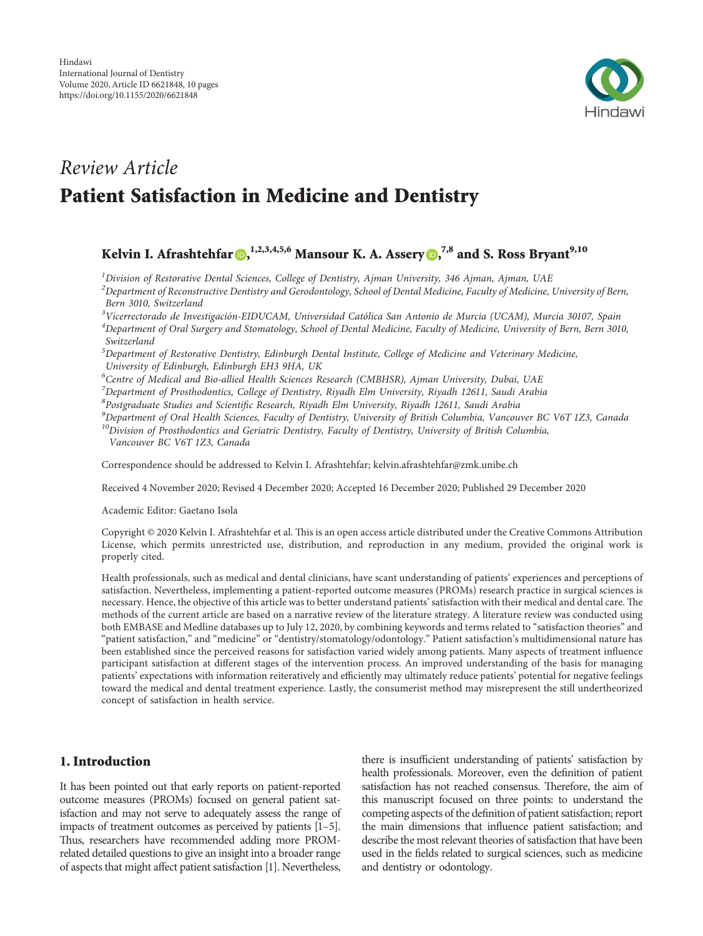

# Review Article Patient Satisfaction in Medicine and Dentistry

# Kelvin I. Afrashtehfar (D[,](https://orcid.org/0000-0002-6053-8967)  $^{1,2,3,4,5,6}$  Mansour K. A. Assery (D,  $^{7,8}$  and S. Ross Bryant $^{9,10}$

 $1$ Division of Restorative Dental Sciences, College of Dentistry, Ajman University, 346 Ajman, Ajman, UAE

 $^{2}$ Department of Reconstructive Dentistry and Gerodontology, School of Dental Medicine, Faculty of Medicine, University of Bern, Bern 3010, Switzerland

<sup>3</sup>Vicerrectorado de Investigación-EIDUCAM, Universidad Católica San Antonio de Murcia (UCAM), Murcia 30107, Spain

 ${}^{4}$ Department of Oral Surgery and Stomatology, School of Dental Medicine, Faculty of Medicine, University of Bern, Bern 3010, Switzerland

 ${}^{5}$ Department of Restorative Dentistry, Edinburgh Dental Institute, College of Medicine and Veterinary Medicine, University of Edinburgh, Edinburgh EH3 9HA, UK

<sup>6</sup>Centre of Medical and Bio-allied Health Sciences Research (CMBHSR), Ajman University, Dubai, UAE

<sup>7</sup>Department of Prosthodontics, College of Dentistry, Riyadh Elm University, Riyadh 12611, Saudi Arabia

 $^8$ Postgraduate Studies and Scientific Research, Riyadh Elm University, Riyadh 12611, Saudi Arabia

 $^{9}$ Department of Oral Health Sciences, Faculty of Dentistry, University of British Columbia, Vancouver BC V6T 1Z3, Canada <sup>10</sup>Division of Prosthodontics and Geriatric Dentistry, Faculty of Dentistry, University of British Columbia,

Vancouver BC V6T 1Z3, Canada

Correspondence should be addressed to Kelvin I. Afrashtehfar; [kelvin.afrashtehfar@zmk.unibe.ch](mailto:kelvin.afrashtehfar@zmk.unibe.ch)

Received 4 November 2020; Revised 4 December 2020; Accepted 16 December 2020; Published 29 December 2020

Academic Editor: Gaetano Isola

Copyright © 2020 Kelvin I. Afrashtehfar et al. This is an open access article distributed under the [Creative Commons Attribution](https://creativecommons.org/licenses/by/4.0/) [License,](https://creativecommons.org/licenses/by/4.0/) which permits unrestricted use, distribution, and reproduction in any medium, provided the original work is properly cited.

Health professionals, such as medical and dental clinicians, have scant understanding of patients' experiences and perceptions of satisfaction. Nevertheless, implementing a patient-reported outcome measures (PROMs) research practice in surgical sciences is necessary. Hence, the objective of this article was to better understand patients' satisfaction with their medical and dental care. The methods of the current article are based on a narrative review of the literature strategy. A literature review was conducted using both EMBASE and Medline databases up to July 12, 2020, by combining keywords and terms related to "satisfaction theories" and "patient satisfaction," and "medicine" or "dentistry/stomatology/odontology." Patient satisfaction's multidimensional nature has been established since the perceived reasons for satisfaction varied widely among patients. Many aspects of treatment influence participant satisfaction at different stages of the intervention process. An improved understanding of the basis for managing patients' expectations with information reiteratively and efficiently may ultimately reduce patients' potential for negative feelings toward the medical and dental treatment experience. Lastly, the consumerist method may misrepresent the still undertheorized concept of satisfaction in health service.

# 1. Introduction

It has been pointed out that early reports on patient-reported outcome measures (PROMs) focused on general patient satisfaction and may not serve to adequately assess the range of impacts of treatment outcomes as perceived by patients [\[1–5\]](#page-7-0). Thus, researchers have recommended adding more PROMrelated detailed questions to give an insight into a broader range of aspects that might affect patient satisfaction[[1\]](#page-7-0). Nevertheless,

there is insufficient understanding of patients' satisfaction by health professionals. Moreover, even the definition of patient satisfaction has not reached consensus. Therefore, the aim of this manuscript focused on three points: to understand the competing aspects of the definition of patient satisfaction; report the main dimensions that influence patient satisfaction; and describe the most relevant theories of satisfaction that have been used in the fields related to surgical sciences, such as medicine and dentistry or odontology.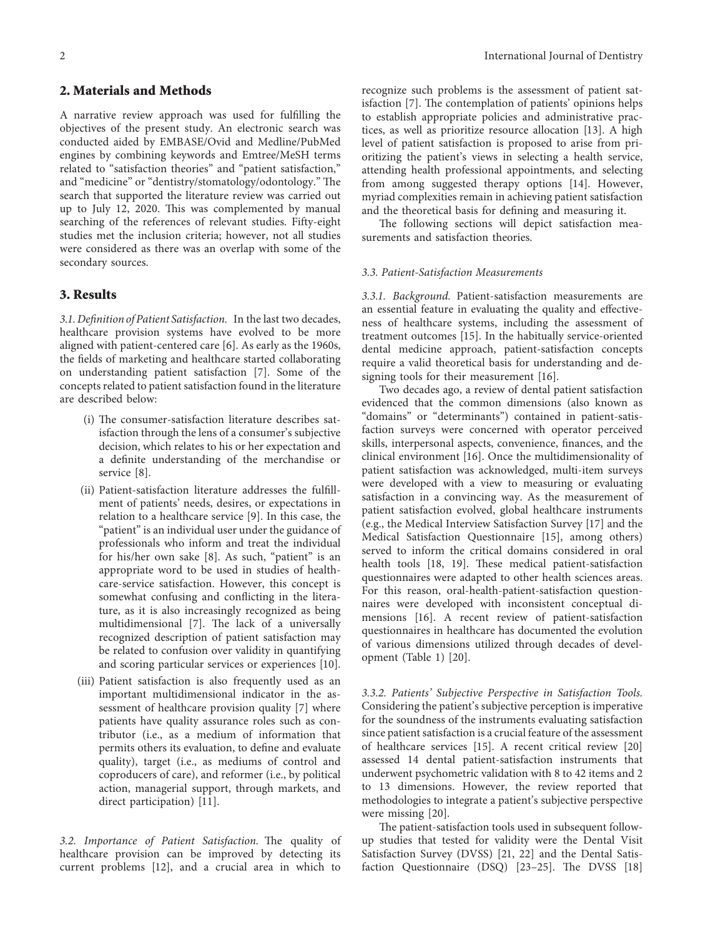# 2. Materials and Methods

A narrative review approach was used for fulfilling the objectives of the present study. An electronic search was conducted aided by EMBASE/Ovid and Medline/PubMed engines by combining keywords and Emtree/MeSH terms related to "satisfaction theories" and "patient satisfaction," and "medicine" or "dentistry/stomatology/odontology." The search that supported the literature review was carried out up to July 12, 2020. This was complemented by manual searching of the references of relevant studies. Fifty-eight studies met the inclusion criteria; however, not all studies were considered as there was an overlap with some of the secondary sources.

# 3. Results

3.1. Definition of Patient Satisfaction. In the last two decades, healthcare provision systems have evolved to be more aligned with patient-centered care [\[6](#page-7-0)]. As early as the 1960s, the fields of marketing and healthcare started collaborating on understanding patient satisfaction [\[7\]](#page-7-0). Some of the concepts related to patient satisfaction found in the literature are described below:

- (i) The consumer-satisfaction literature describes satisfaction through the lens of a consumer's subjective decision, which relates to his or her expectation and a definite understanding of the merchandise or service [\[8](#page-7-0)].
- (ii) Patient-satisfaction literature addresses the fulfillment of patients' needs, desires, or expectations in relation to a healthcare service [\[9](#page-7-0)]. In this case, the "patient" is an individual user under the guidance of professionals who inform and treat the individual for his/her own sake[[8\]](#page-7-0). As such, "patient" is an appropriate word to be used in studies of healthcare-service satisfaction. However, this concept is somewhat confusing and conflicting in the literature, as it is also increasingly recognized as being multidimensional[[7\]](#page-7-0). The lack of a universally recognized description of patient satisfaction may be related to confusion over validity in quantifying and scoring particular services or experiences [\[10](#page-7-0)].
- (iii) Patient satisfaction is also frequently used as an important multidimensional indicator in the assessment of healthcare provision quality [\[7](#page-7-0)] where patients have quality assurance roles such as contributor (i.e., as a medium of information that permits others its evaluation, to define and evaluate quality), target (i.e., as mediums of control and coproducers of care), and reformer (i.e., by political action, managerial support, through markets, and direct participation)[[11\]](#page-7-0).

3.2. Importance of Patient Satisfaction. The quality of healthcare provision can be improved by detecting its current problems[[12\]](#page-7-0), and a crucial area in which to

recognize such problems is the assessment of patient sat-isfaction [\[7](#page-7-0)]. The contemplation of patients' opinions helps to establish appropriate policies and administrative practices, as well as prioritize resource allocation[[13\]](#page-7-0). A high level of patient satisfaction is proposed to arise from prioritizing the patient's views in selecting a health service, attending health professional appointments, and selecting from among suggested therapy options[[14\]](#page-7-0). However, myriad complexities remain in achieving patient satisfaction and the theoretical basis for defining and measuring it.

The following sections will depict satisfaction measurements and satisfaction theories.

#### 3.3. Patient-Satisfaction Measurements

3.3.1. Background. Patient-satisfaction measurements are an essential feature in evaluating the quality and effectiveness of healthcare systems, including the assessment of treatment outcomes[[15\]](#page-7-0). In the habitually service-oriented dental medicine approach, patient-satisfaction concepts require a valid theoretical basis for understanding and designing tools for their measurement[[16\]](#page-7-0).

Two decades ago, a review of dental patient satisfaction evidenced that the common dimensions (also known as "domains" or "determinants") contained in patient-satisfaction surveys were concerned with operator perceived skills, interpersonal aspects, convenience, finances, and the clinical environment [\[16](#page-7-0)]. Once the multidimensionality of patient satisfaction was acknowledged, multi-item surveys were developed with a view to measuring or evaluating satisfaction in a convincing way. As the measurement of patient satisfaction evolved, global healthcare instruments (e.g., the Medical Interview Satisfaction Survey[[17\]](#page-7-0) and the Medical Satisfaction Questionnaire [\[15](#page-7-0)], among others) served to inform the critical domains considered in oral health tools [\[18](#page-7-0), [19\]](#page-8-0). These medical patient-satisfaction questionnaires were adapted to other health sciences areas. For this reason, oral-health-patient-satisfaction questionnaires were developed with inconsistent conceptual dimensions[[16\]](#page-7-0). A recent review of patient-satisfaction questionnaires in healthcare has documented the evolution of various dimensions utilized through decades of development (Table [1](#page-2-0))[[20](#page-8-0)].

3.3.2. Patients' Subjective Perspective in Satisfaction Tools. Considering the patient's subjective perception is imperative for the soundness of the instruments evaluating satisfaction since patient satisfaction is a crucial feature of the assessment of healthcare services[[15\]](#page-7-0). A recent critical review [\[20\]](#page-8-0) assessed 14 dental patient-satisfaction instruments that underwent psychometric validation with 8 to 42 items and 2 to 13 dimensions. However, the review reported that methodologies to integrate a patient's subjective perspective were missing[[20\]](#page-8-0).

The patient-satisfaction tools used in subsequent followup studies that tested for validity were the Dental Visit Satisfaction Survey (DVSS) [\[21](#page-8-0), [22](#page-8-0)] and the Dental Satis-factionQuestionnaire (DSQ)  $[23-25]$ . The DVSS  $[18]$  $[18]$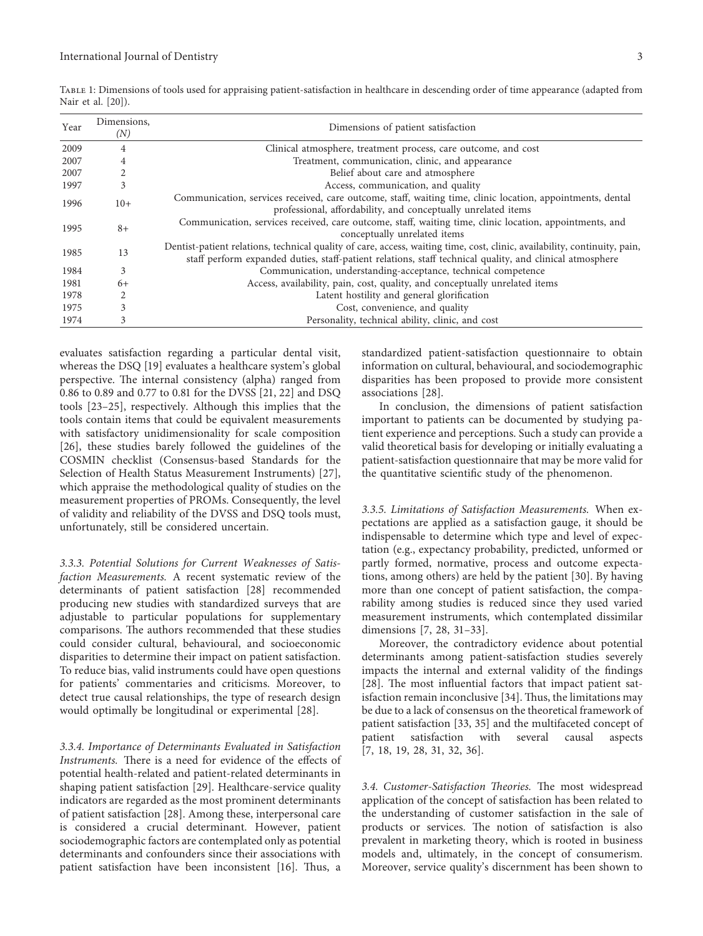| Year | Dimensions,<br>(N) | Dimensions of patient satisfaction                                                                                                                                                                                                    |
|------|--------------------|---------------------------------------------------------------------------------------------------------------------------------------------------------------------------------------------------------------------------------------|
| 2009 | 4                  | Clinical atmosphere, treatment process, care outcome, and cost                                                                                                                                                                        |
| 2007 | 4                  | Treatment, communication, clinic, and appearance                                                                                                                                                                                      |
| 2007 |                    | Belief about care and atmosphere                                                                                                                                                                                                      |
| 1997 | 3                  | Access, communication, and quality                                                                                                                                                                                                    |
| 1996 | $10+$              | Communication, services received, care outcome, staff, waiting time, clinic location, appointments, dental<br>professional, affordability, and conceptually unrelated items                                                           |
| 1995 | $8+$               | Communication, services received, care outcome, staff, waiting time, clinic location, appointments, and<br>conceptually unrelated items                                                                                               |
| 1985 | 13                 | Dentist-patient relations, technical quality of care, access, waiting time, cost, clinic, availability, continuity, pain,<br>staff perform expanded duties, staff-patient relations, staff technical quality, and clinical atmosphere |
| 1984 | 3                  | Communication, understanding-acceptance, technical competence                                                                                                                                                                         |
| 1981 | $6+$               | Access, availability, pain, cost, quality, and conceptually unrelated items                                                                                                                                                           |
| 1978 |                    | Latent hostility and general glorification                                                                                                                                                                                            |
| 1975 | 3                  | Cost, convenience, and quality                                                                                                                                                                                                        |
| 1974 | 3                  | Personality, technical ability, clinic, and cost                                                                                                                                                                                      |

<span id="page-2-0"></span>Table 1: Dimensions of tools used for appraising patient-satisfaction in healthcare in descending order of time appearance (adapted from Nair et al. [\[20\]](#page-8-0)).

evaluates satisfaction regarding a particular dental visit, whereas the DSQ [\[19](#page-8-0)] evaluates a healthcare system's global perspective. The internal consistency (alpha) ranged from 0.86 to 0.89 and 0.77 to 0.81 for the DVSS[[21, 22](#page-8-0)] and DSQ tools[[23–25](#page-8-0)], respectively. Although this implies that the tools contain items that could be equivalent measurements with satisfactory unidimensionality for scale composition [\[26\]](#page-8-0), these studies barely followed the guidelines of the COSMIN checklist (Consensus-based Standards for the Selection of Health Status Measurement Instruments)[[27](#page-8-0)], which appraise the methodological quality of studies on the measurement properties of PROMs. Consequently, the level of validity and reliability of the DVSS and DSQ tools must, unfortunately, still be considered uncertain.

3.3.3. Potential Solutions for Current Weaknesses of Satisfaction Measurements. A recent systematic review of the determinants of patient satisfaction[[28](#page-8-0)] recommended producing new studies with standardized surveys that are adjustable to particular populations for supplementary comparisons. The authors recommended that these studies could consider cultural, behavioural, and socioeconomic disparities to determine their impact on patient satisfaction. To reduce bias, valid instruments could have open questions for patients' commentaries and criticisms. Moreover, to detect true causal relationships, the type of research design would optimally be longitudinal or experimental [\[28\]](#page-8-0).

3.3.4. Importance of Determinants Evaluated in Satisfaction Instruments. There is a need for evidence of the effects of potential health-related and patient-related determinants in shaping patient satisfaction[[29](#page-8-0)]. Healthcare-service quality indicators are regarded as the most prominent determinants of patient satisfaction [\[28\]](#page-8-0). Among these, interpersonal care is considered a crucial determinant. However, patient sociodemographic factors are contemplated only as potential determinants and confounders since their associations with patientsatisfaction have been inconsistent [[16\]](#page-7-0). Thus, a

standardized patient-satisfaction questionnaire to obtain information on cultural, behavioural, and sociodemographic disparities has been proposed to provide more consistent associations[[28](#page-8-0)].

In conclusion, the dimensions of patient satisfaction important to patients can be documented by studying patient experience and perceptions. Such a study can provide a valid theoretical basis for developing or initially evaluating a patient-satisfaction questionnaire that may be more valid for the quantitative scientific study of the phenomenon.

3.3.5. Limitations of Satisfaction Measurements. When expectations are applied as a satisfaction gauge, it should be indispensable to determine which type and level of expectation (e.g., expectancy probability, predicted, unformed or partly formed, normative, process and outcome expectations, among others) are held by the patient [\[30\]](#page-8-0). By having more than one concept of patient satisfaction, the comparability among studies is reduced since they used varied measurement instruments, which contemplated dissimilar dimensions [\[7,](#page-7-0) [28, 31–33](#page-8-0)].

Moreover, the contradictory evidence about potential determinants among patient-satisfaction studies severely impacts the internal and external validity of the findings [\[28\]](#page-8-0). The most influential factors that impact patient satisfaction remain inconclusive  $[34]$ . Thus, the limitations may be due to a lack of consensus on the theoretical framework of patient satisfaction[[33, 35](#page-8-0)] and the multifaceted concept of patient satisfaction with several causal aspects [\[7](#page-7-0), [18](#page-7-0), [19, 28, 31](#page-8-0), [32](#page-8-0), [36\]](#page-8-0).

3.4. Customer-Satisfaction Theories. The most widespread application of the concept of satisfaction has been related to the understanding of customer satisfaction in the sale of products or services. The notion of satisfaction is also prevalent in marketing theory, which is rooted in business models and, ultimately, in the concept of consumerism. Moreover, service quality's discernment has been shown to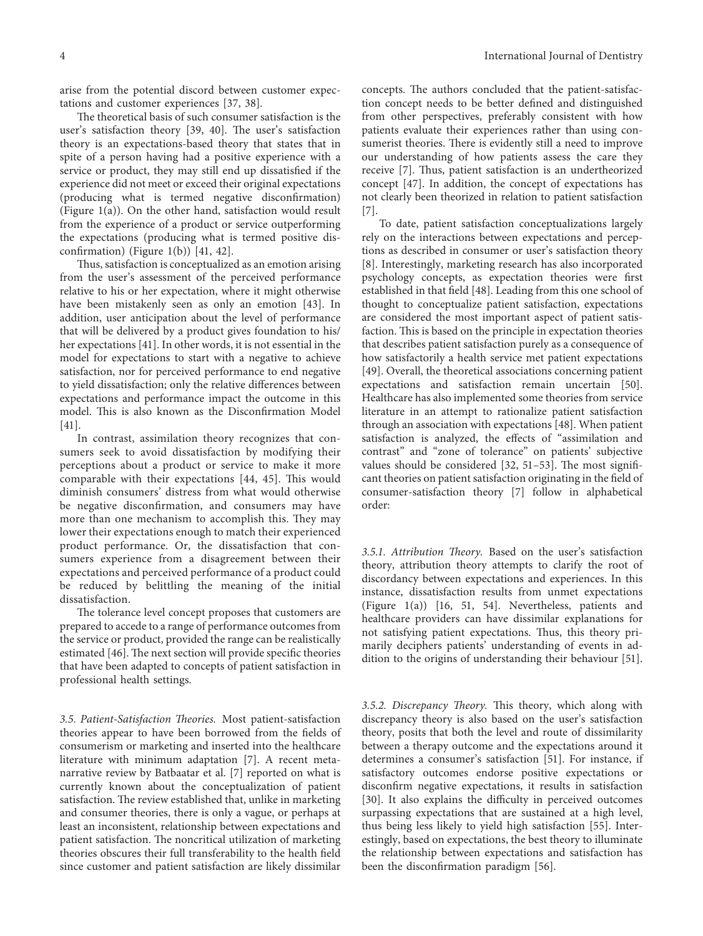arise from the potential discord between customer expectations and customer experiences[[37, 38\]](#page-8-0).

The theoretical basis of such consumer satisfaction is the user's satisfaction theory [\[39, 40](#page-8-0)]. The user's satisfaction theory is an expectations-based theory that states that in spite of a person having had a positive experience with a service or product, they may still end up dissatisfied if the experience did not meet or exceed their original expectations (producing what is termed negative disconfirmation) (Figure [1\(a\)\)](#page-4-0). On the other hand, satisfaction would result from the experience of a product or service outperforming the expectations (producing what is termed positive disconfirmation) (Figure [1\(b\)\)](#page-4-0)[[41, 42\]](#page-8-0).

Thus, satisfaction is conceptualized as an emotion arising from the user's assessment of the perceived performance relative to his or her expectation, where it might otherwise have been mistakenly seen as only an emotion[[43\]](#page-8-0). In addition, user anticipation about the level of performance that will be delivered by a product gives foundation to his/ her expectations [\[41\]](#page-8-0). In other words, it is not essential in the model for expectations to start with a negative to achieve satisfaction, nor for perceived performance to end negative to yield dissatisfaction; only the relative differences between expectations and performance impact the outcome in this model. This is also known as the Disconfirmation Model [\[41](#page-8-0)].

In contrast, assimilation theory recognizes that consumers seek to avoid dissatisfaction by modifying their perceptions about a product or service to make it more comparablewith their expectations [[44, 45](#page-8-0)]. This would diminish consumers' distress from what would otherwise be negative disconfirmation, and consumers may have more than one mechanism to accomplish this. They may lower their expectations enough to match their experienced product performance. Or, the dissatisfaction that consumers experience from a disagreement between their expectations and perceived performance of a product could be reduced by belittling the meaning of the initial dissatisfaction.

The tolerance level concept proposes that customers are prepared to accede to a range of performance outcomes from the service or product, provided the range can be realistically estimated[[46\]](#page-8-0). The next section will provide specific theories that have been adapted to concepts of patient satisfaction in professional health settings.

3.5. Patient-Satisfaction Theories. Most patient-satisfaction theories appear to have been borrowed from the fields of consumerism or marketing and inserted into the healthcare literature with minimum adaptation [\[7](#page-7-0)]. A recent metanarrative review by Batbaatar et al.[[7](#page-7-0)] reported on what is currently known about the conceptualization of patient satisfaction. The review established that, unlike in marketing and consumer theories, there is only a vague, or perhaps at least an inconsistent, relationship between expectations and patient satisfaction. The noncritical utilization of marketing theories obscures their full transferability to the health field since customer and patient satisfaction are likely dissimilar

concepts. The authors concluded that the patient-satisfaction concept needs to be better defined and distinguished from other perspectives, preferably consistent with how patients evaluate their experiences rather than using consumerist theories. There is evidently still a need to improve our understanding of how patients assess the care they receive[[7\]](#page-7-0). Thus, patient satisfaction is an undertheorized concept[[47](#page-8-0)]. In addition, the concept of expectations has not clearly been theorized in relation to patient satisfaction [\[7](#page-7-0)].

To date, patient satisfaction conceptualizations largely rely on the interactions between expectations and perceptions as described in consumer or user's satisfaction theory [\[8](#page-7-0)]. Interestingly, marketing research has also incorporated psychology concepts, as expectation theories were first established in that field [\[48\]](#page-8-0). Leading from this one school of thought to conceptualize patient satisfaction, expectations are considered the most important aspect of patient satisfaction. This is based on the principle in expectation theories that describes patient satisfaction purely as a consequence of how satisfactorily a health service met patient expectations [\[49\]](#page-8-0). Overall, the theoretical associations concerning patient expectations and satisfaction remain uncertain[[50](#page-8-0)]. Healthcare has also implemented some theories from service literature in an attempt to rationalize patient satisfaction through an association with expectations[[48\]](#page-8-0). When patient satisfaction is analyzed, the effects of "assimilation and contrast" and "zone of tolerance" on patients' subjective values should be considered  $[32, 51-53]$  $[32, 51-53]$  $[32, 51-53]$ . The most significant theories on patient satisfaction originating in the field of consumer-satisfaction theory [\[7\]](#page-7-0) follow in alphabetical order:

3.5.1. Attribution Theory. Based on the user's satisfaction theory, attribution theory attempts to clarify the root of discordancy between expectations and experiences. In this instance, dissatisfaction results from unmet expectations (Figure [1\(a\)](#page-4-0))[[16,](#page-7-0) [51](#page-8-0), [54](#page-8-0)]. Nevertheless, patients and healthcare providers can have dissimilar explanations for not satisfying patient expectations. Thus, this theory primarily deciphers patients' understanding of events in addition to the origins of understanding their behaviour [\[51](#page-8-0)].

3.5.2. Discrepancy Theory. This theory, which along with discrepancy theory is also based on the user's satisfaction theory, posits that both the level and route of dissimilarity between a therapy outcome and the expectations around it determines a consumer's satisfaction[[51\]](#page-8-0). For instance, if satisfactory outcomes endorse positive expectations or disconfirm negative expectations, it results in satisfaction [\[30\]](#page-8-0). It also explains the difficulty in perceived outcomes surpassing expectations that are sustained at a high level, thus being less likely to yield high satisfaction[[55](#page-9-0)]. Interestingly, based on expectations, the best theory to illuminate the relationship between expectations and satisfaction has been the disconfirmation paradigm[[56](#page-9-0)].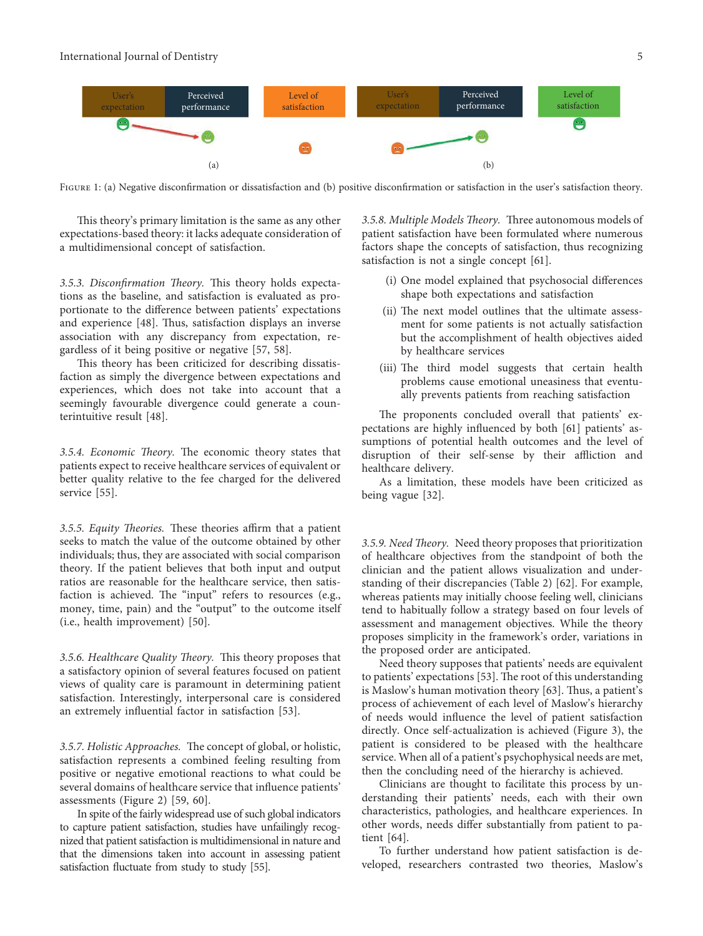<span id="page-4-0"></span>

Figure 1: (a) Negative disconfirmation or dissatisfaction and (b) positive disconfirmation or satisfaction in the user's satisfaction theory.

This theory's primary limitation is the same as any other expectations-based theory: it lacks adequate consideration of a multidimensional concept of satisfaction.

3.5.3. Disconfirmation Theory. This theory holds expectations as the baseline, and satisfaction is evaluated as proportionate to the difference between patients' expectations andexperience  $[48]$  $[48]$  $[48]$ . Thus, satisfaction displays an inverse association with any discrepancy from expectation, regardless of it being positive or negative[[57](#page-9-0), [58](#page-9-0)].

This theory has been criticized for describing dissatisfaction as simply the divergence between expectations and experiences, which does not take into account that a seemingly favourable divergence could generate a counterintuitive result [\[48\]](#page-8-0).

3.5.4. Economic Theory. The economic theory states that patients expect to receive healthcare services of equivalent or better quality relative to the fee charged for the delivered service [\[55\]](#page-9-0).

3.5.5. Equity Theories. These theories affirm that a patient seeks to match the value of the outcome obtained by other individuals; thus, they are associated with social comparison theory. If the patient believes that both input and output ratios are reasonable for the healthcare service, then satisfaction is achieved. The "input" refers to resources (e.g., money, time, pain) and the "output" to the outcome itself (i.e., health improvement) [\[50\]](#page-8-0).

3.5.6. Healthcare Quality Theory. This theory proposes that a satisfactory opinion of several features focused on patient views of quality care is paramount in determining patient satisfaction. Interestingly, interpersonal care is considered an extremely influential factor in satisfaction [\[53\]](#page-8-0).

3.5.7. Holistic Approaches. The concept of global, or holistic, satisfaction represents a combined feeling resulting from positive or negative emotional reactions to what could be several domains of healthcare service that influence patients' assessments (Figure [2](#page-5-0))[[59](#page-9-0), [60](#page-9-0)].

In spite of the fairly widespread use of such global indicators to capture patient satisfaction, studies have unfailingly recognized that patient satisfaction is multidimensional in nature and that the dimensions taken into account in assessing patient satisfactionfluctuate from study to study [[55\]](#page-9-0).

3.5.8. Multiple Models Theory. Three autonomous models of patient satisfaction have been formulated where numerous factors shape the concepts of satisfaction, thus recognizing satisfaction is not a single concept [\[61\]](#page-9-0).

- (i) One model explained that psychosocial differences shape both expectations and satisfaction
- (ii) The next model outlines that the ultimate assessment for some patients is not actually satisfaction but the accomplishment of health objectives aided by healthcare services
- (iii) The third model suggests that certain health problems cause emotional uneasiness that eventually prevents patients from reaching satisfaction

The proponents concluded overall that patients' expectations are highly influenced by both[[61\]](#page-9-0) patients' assumptions of potential health outcomes and the level of disruption of their self-sense by their affliction and healthcare delivery.

As a limitation, these models have been criticized as being vague [\[32\]](#page-8-0).

3.5.9. Need Theory. Need theory proposes that prioritization of healthcare objectives from the standpoint of both the clinician and the patient allows visualization and understanding of their discrepancies (Table [2](#page-6-0)) [\[62\]](#page-9-0). For example, whereas patients may initially choose feeling well, clinicians tend to habitually follow a strategy based on four levels of assessment and management objectives. While the theory proposes simplicity in the framework's order, variations in the proposed order are anticipated.

Need theory supposes that patients' needs are equivalent topatients' expectations [[53](#page-8-0)]. The root of this understanding isMaslow's human motivation theory [[63](#page-9-0)]. Thus, a patient's process of achievement of each level of Maslow's hierarchy of needs would influence the level of patient satisfaction directly. Once self-actualization is achieved (Figure [3](#page-6-0)), the patient is considered to be pleased with the healthcare service. When all of a patient's psychophysical needs are met, then the concluding need of the hierarchy is achieved.

Clinicians are thought to facilitate this process by understanding their patients' needs, each with their own characteristics, pathologies, and healthcare experiences. In other words, needs differ substantially from patient to patient [\[64\]](#page-9-0).

To further understand how patient satisfaction is developed, researchers contrasted two theories, Maslow's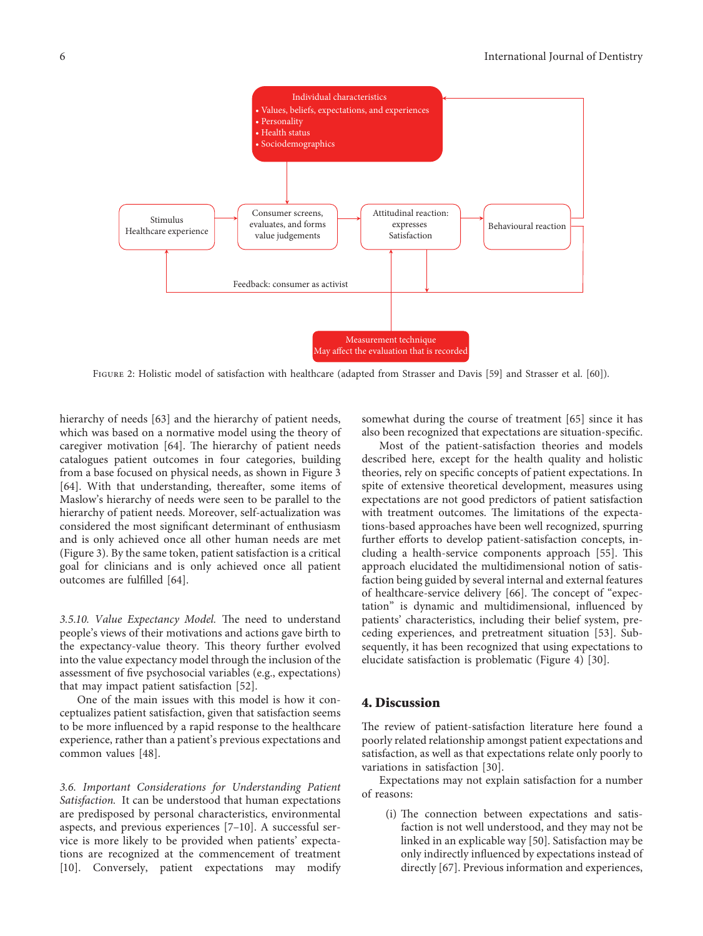<span id="page-5-0"></span>

Figure 2: Holistic model of satisfaction with healthcare (adapted from Strasser and Davis[[59](#page-9-0)] and Strasser et al.[[60\]](#page-9-0)).

hierarchy of needs[[63](#page-9-0)] and the hierarchy of patient needs, which was based on a normative model using the theory of caregiver motivation  $[64]$ . The hierarchy of patient needs catalogues patient outcomes in four categories, building from a base focused on physical needs, as shown in Figure [3](#page-6-0) [\[64\]](#page-9-0). With that understanding, thereafter, some items of Maslow's hierarchy of needs were seen to be parallel to the hierarchy of patient needs. Moreover, self-actualization was considered the most significant determinant of enthusiasm and is only achieved once all other human needs are met (Figure [3](#page-6-0)). By the same token, patient satisfaction is a critical goal for clinicians and is only achieved once all patient outcomes are fulfilled [\[64\]](#page-9-0).

3.5.10. Value Expectancy Model. The need to understand people's views of their motivations and actions gave birth to the expectancy-value theory. This theory further evolved into the value expectancy model through the inclusion of the assessment of five psychosocial variables (e.g., expectations) that may impact patient satisfaction[[52](#page-8-0)].

One of the main issues with this model is how it conceptualizes patient satisfaction, given that satisfaction seems to be more influenced by a rapid response to the healthcare experience, rather than a patient's previous expectations and common values[[48](#page-8-0)].

3.6. Important Considerations for Understanding Patient Satisfaction. It can be understood that human expectations are predisposed by personal characteristics, environmental aspects, and previous experiences[[7](#page-7-0)–[10\]](#page-7-0). A successful service is more likely to be provided when patients' expectations are recognized at the commencement of treatment [\[10](#page-7-0)]. Conversely, patient expectations may modify

somewhat during the course of treatment[[65](#page-9-0)] since it has also been recognized that expectations are situation-specific.

Most of the patient-satisfaction theories and models described here, except for the health quality and holistic theories, rely on specific concepts of patient expectations. In spite of extensive theoretical development, measures using expectations are not good predictors of patient satisfaction with treatment outcomes. The limitations of the expectations-based approaches have been well recognized, spurring further efforts to develop patient-satisfaction concepts, in-cluding a health-service components approach [\[55\]](#page-9-0). This approach elucidated the multidimensional notion of satisfaction being guided by several internal and external features of healthcare-service delivery [\[66\]](#page-9-0). The concept of "expectation" is dynamic and multidimensional, influenced by patients' characteristics, including their belief system, preceding experiences, and pretreatment situation [\[53\]](#page-8-0). Subsequently, it has been recognized that using expectations to elucidate satisfaction is problematic (Figure [4](#page-6-0)) [\[30](#page-8-0)].

# 4. Discussion

The review of patient-satisfaction literature here found a poorly related relationship amongst patient expectations and satisfaction, as well as that expectations relate only poorly to variations in satisfaction [\[30\]](#page-8-0).

Expectations may not explain satisfaction for a number of reasons:

(i) The connection between expectations and satisfaction is not well understood, and they may not be linked in an explicable way[[50](#page-8-0)]. Satisfaction may be only indirectly influenced by expectations instead of directly [\[67\]](#page-9-0). Previous information and experiences,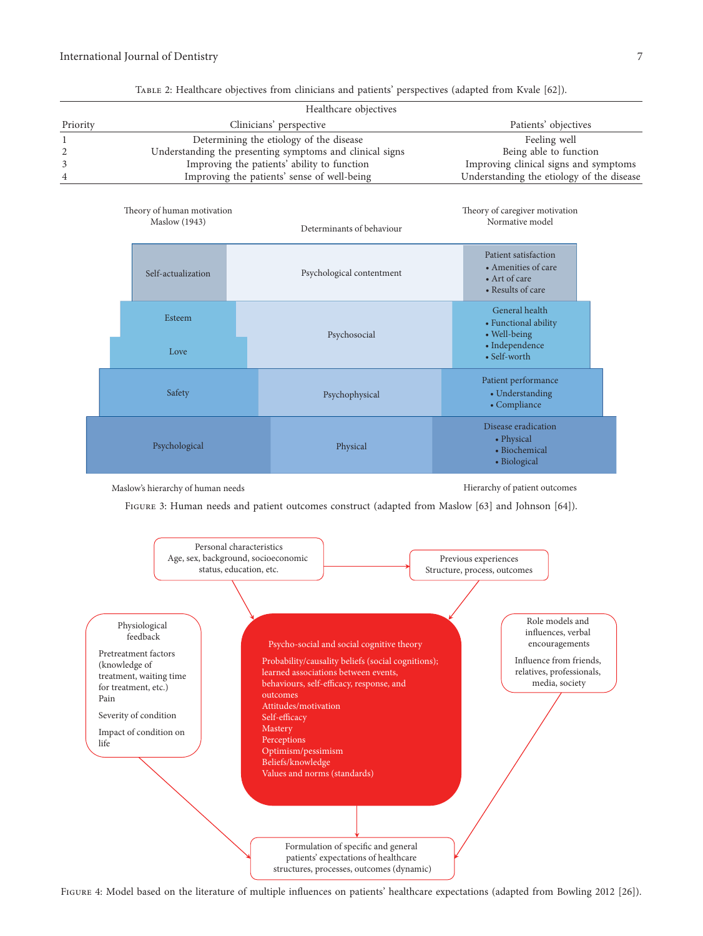<span id="page-6-0"></span>

| Healthcare objectives |                                                          |                                           |  |  |  |  |  |
|-----------------------|----------------------------------------------------------|-------------------------------------------|--|--|--|--|--|
| Priority              | Clinicians' perspective                                  | Patients' objectives                      |  |  |  |  |  |
|                       | Determining the etiology of the disease                  | Feeling well                              |  |  |  |  |  |
|                       | Understanding the presenting symptoms and clinical signs | Being able to function                    |  |  |  |  |  |
|                       | Improving the patients' ability to function              | Improving clinical signs and symptoms     |  |  |  |  |  |
| 4                     | Improving the patients' sense of well-being              | Understanding the etiology of the disease |  |  |  |  |  |

| TABLE 2: Healthcare objectives from clinicians and patients' perspectives (adapted from Kvale [62]). |  |  |
|------------------------------------------------------------------------------------------------------|--|--|
|------------------------------------------------------------------------------------------------------|--|--|

|        | Theory of human motivation<br><b>Maslow</b> (1943) | Determinants of behaviour |                                                                                   | Theory of caregiver motivation<br>Normative model                  |  |
|--------|----------------------------------------------------|---------------------------|-----------------------------------------------------------------------------------|--------------------------------------------------------------------|--|
|        | Psychological contentment<br>Self-actualization    |                           | Patient satisfaction<br>• Amenities of care<br>• Art of care<br>• Results of care |                                                                    |  |
|        | Esteem                                             | Psychosocial              |                                                                                   | General health<br>• Functional ability<br>• Well-being             |  |
|        | Love                                               |                           |                                                                                   | • Independence<br>• Self-worth                                     |  |
| Safety |                                                    | Psychophysical            |                                                                                   | Patient performance<br>• Understanding<br>• Compliance             |  |
|        | Psychological                                      | Physical                  |                                                                                   | Disease eradication<br>• Physical<br>• Biochemical<br>• Biological |  |

Maslow's hierarchy of human needs Hierarchy of patient outcomes

Figure 3: Human needs and patient outcomes construct (adapted from Maslow [\[63\]](#page-9-0) and Johnson[[64](#page-9-0)]).



Figure 4: Model based on the literature of multiple influences on patients' healthcare expectations (adapted from Bowling 2012 [\[26\]](#page-8-0)).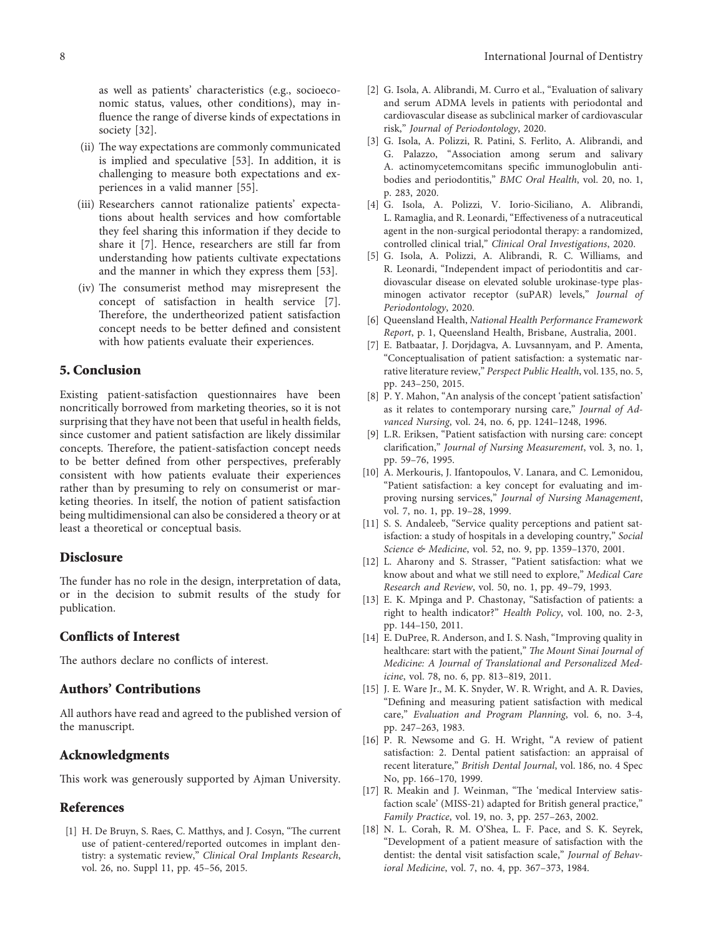<span id="page-7-0"></span>as well as patients' characteristics (e.g., socioeconomic status, values, other conditions), may influence the range of diverse kinds of expectations in society[[32](#page-8-0)].

- (ii) The way expectations are commonly communicated is implied and speculative [\[53\]](#page-8-0). In addition, it is challenging to measure both expectations and experiences in a valid manner [\[55\]](#page-9-0).
- (iii) Researchers cannot rationalize patients' expectations about health services and how comfortable they feel sharing this information if they decide to share it [7]. Hence, researchers are still far from understanding how patients cultivate expectations and the manner in which they express them [\[53\]](#page-8-0).
- (iv) The consumerist method may misrepresent the concept of satisfaction in health service [7]. Therefore, the undertheorized patient satisfaction concept needs to be better defined and consistent with how patients evaluate their experiences.

#### 5. Conclusion

Existing patient-satisfaction questionnaires have been noncritically borrowed from marketing theories, so it is not surprising that they have not been that useful in health fields, since customer and patient satisfaction are likely dissimilar concepts. Therefore, the patient-satisfaction concept needs to be better defined from other perspectives, preferably consistent with how patients evaluate their experiences rather than by presuming to rely on consumerist or marketing theories. In itself, the notion of patient satisfaction being multidimensional can also be considered a theory or at least a theoretical or conceptual basis.

# Disclosure

The funder has no role in the design, interpretation of data, or in the decision to submit results of the study for publication.

#### Conflicts of Interest

The authors declare no conflicts of interest.

# Authors' Contributions

All authors have read and agreed to the published version of the manuscript.

# Acknowledgments

This work was generously supported by Ajman University.

# References

[1] H. De Bruyn, S. Raes, C. Matthys, and J. Cosyn, "The current use of patient-centered/reported outcomes in implant dentistry: a systematic review," Clinical Oral Implants Research, vol. 26, no. Suppl 11, pp. 45–56, 2015.

- [2] G. Isola, A. Alibrandi, M. Curro et al., "Evaluation of salivary and serum ADMA levels in patients with periodontal and cardiovascular disease as subclinical marker of cardiovascular risk," Journal of Periodontology, 2020.
- [3] G. Isola, A. Polizzi, R. Patini, S. Ferlito, A. Alibrandi, and G. Palazzo, "Association among serum and salivary A. actinomycetemcomitans specific immunoglobulin antibodies and periodontitis," BMC Oral Health, vol. 20, no. 1, p. 283, 2020.
- [4] G. Isola, A. Polizzi, V. Iorio-Siciliano, A. Alibrandi, L. Ramaglia, and R. Leonardi, "Effectiveness of a nutraceutical agent in the non-surgical periodontal therapy: a randomized, controlled clinical trial," Clinical Oral Investigations, 2020.
- [5] G. Isola, A. Polizzi, A. Alibrandi, R. C. Williams, and R. Leonardi, "Independent impact of periodontitis and cardiovascular disease on elevated soluble urokinase-type plasminogen activator receptor (suPAR) levels," Journal of Periodontology, 2020.
- [6] Queensland Health, National Health Performance Framework Report, p. 1, Queensland Health, Brisbane, Australia, 2001.
- [7] E. Batbaatar, J. Dorjdagva, A. Luvsannyam, and P. Amenta, "Conceptualisation of patient satisfaction: a systematic narrative literature review," Perspect Public Health, vol. 135, no. 5, pp. 243–250, 2015.
- [8] P. Y. Mahon, "An analysis of the concept 'patient satisfaction' as it relates to contemporary nursing care," Journal of Advanced Nursing, vol. 24, no. 6, pp. 1241–1248, 1996.
- [9] L.R. Eriksen, "Patient satisfaction with nursing care: concept clarification," Journal of Nursing Measurement, vol. 3, no. 1, pp. 59–76, 1995.
- [10] A. Merkouris, J. Ifantopoulos, V. Lanara, and C. Lemonidou, "Patient satisfaction: a key concept for evaluating and improving nursing services," Journal of Nursing Management, vol. 7, no. 1, pp. 19–28, 1999.
- [11] S. S. Andaleeb, "Service quality perceptions and patient satisfaction: a study of hospitals in a developing country," Social Science & Medicine, vol. 52, no. 9, pp. 1359–1370, 2001.
- [12] L. Aharony and S. Strasser, "Patient satisfaction: what we know about and what we still need to explore," Medical Care Research and Review, vol. 50, no. 1, pp. 49–79, 1993.
- [13] E. K. Mpinga and P. Chastonay, "Satisfaction of patients: a right to health indicator?" Health Policy, vol. 100, no. 2-3, pp. 144–150, 2011.
- [14] E. DuPree, R. Anderson, and I. S. Nash, "Improving quality in healthcare: start with the patient," The Mount Sinai Journal of Medicine: A Journal of Translational and Personalized Medicine, vol. 78, no. 6, pp. 813–819, 2011.
- [15] J. E. Ware Jr., M. K. Snyder, W. R. Wright, and A. R. Davies, "Defining and measuring patient satisfaction with medical care," Evaluation and Program Planning, vol. 6, no. 3-4, pp. 247–263, 1983.
- [16] P. R. Newsome and G. H. Wright, "A review of patient satisfaction: 2. Dental patient satisfaction: an appraisal of recent literature," British Dental Journal, vol. 186, no. 4 Spec No, pp. 166–170, 1999.
- [17] R. Meakin and J. Weinman, "The 'medical Interview satisfaction scale' (MISS-21) adapted for British general practice," Family Practice, vol. 19, no. 3, pp. 257–263, 2002.
- [18] N. L. Corah, R. M. O'Shea, L. F. Pace, and S. K. Seyrek, "Development of a patient measure of satisfaction with the dentist: the dental visit satisfaction scale," Journal of Behavioral Medicine, vol. 7, no. 4, pp. 367–373, 1984.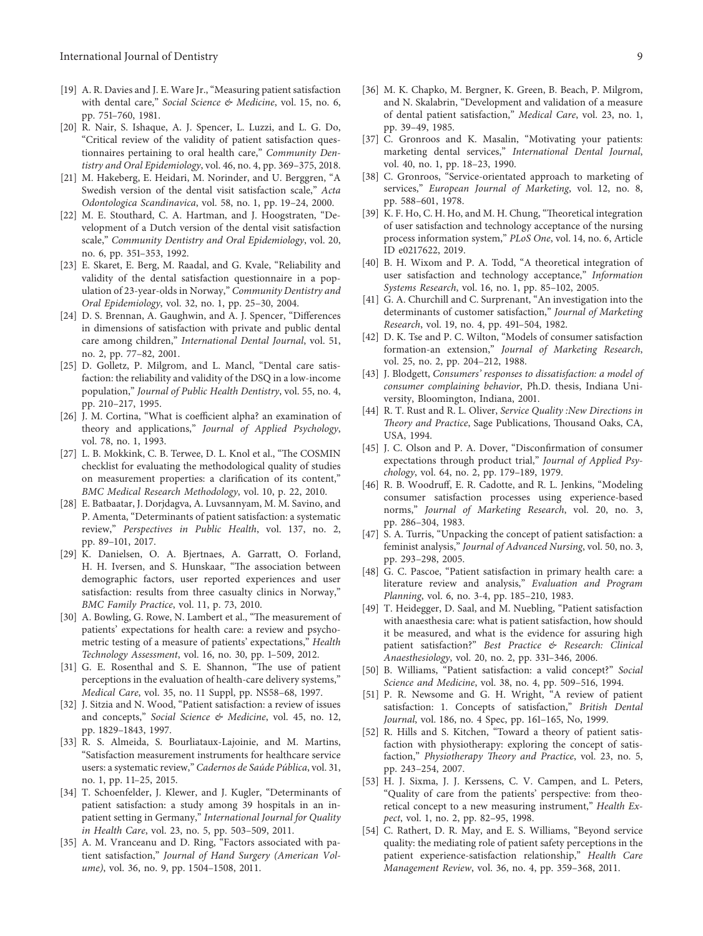- <span id="page-8-0"></span>[19] A. R. Davies and J. E. Ware Jr., "Measuring patient satisfaction with dental care," Social Science & Medicine, vol. 15, no. 6, pp. 751–760, 1981.
- [20] R. Nair, S. Ishaque, A. J. Spencer, L. Luzzi, and L. G. Do, "Critical review of the validity of patient satisfaction questionnaires pertaining to oral health care," Community Dentistry and Oral Epidemiology, vol. 46, no. 4, pp. 369–375, 2018.
- [21] M. Hakeberg, E. Heidari, M. Norinder, and U. Berggren, "A Swedish version of the dental visit satisfaction scale," Acta Odontologica Scandinavica, vol. 58, no. 1, pp. 19–24, 2000.
- [22] M. E. Stouthard, C. A. Hartman, and J. Hoogstraten, "Development of a Dutch version of the dental visit satisfaction scale," Community Dentistry and Oral Epidemiology, vol. 20, no. 6, pp. 351–353, 1992.
- [23] E. Skaret, E. Berg, M. Raadal, and G. Kvale, "Reliability and validity of the dental satisfaction questionnaire in a population of 23-year-olds in Norway," Community Dentistry and Oral Epidemiology, vol. 32, no. 1, pp. 25–30, 2004.
- [24] D. S. Brennan, A. Gaughwin, and A. J. Spencer, "Differences in dimensions of satisfaction with private and public dental care among children," International Dental Journal, vol. 51, no. 2, pp. 77–82, 2001.
- [25] D. Golletz, P. Milgrom, and L. Mancl, "Dental care satisfaction: the reliability and validity of the DSQ in a low-income population," Journal of Public Health Dentistry, vol. 55, no. 4, pp. 210–217, 1995.
- [26] J. M. Cortina, "What is coefficient alpha? an examination of theory and applications," Journal of Applied Psychology, vol. 78, no. 1, 1993.
- [27] L. B. Mokkink, C. B. Terwee, D. L. Knol et al., "The COSMIN checklist for evaluating the methodological quality of studies on measurement properties: a clarification of its content," BMC Medical Research Methodology, vol. 10, p. 22, 2010.
- [28] E. Batbaatar, J. Dorjdagva, A. Luvsannyam, M. M. Savino, and P. Amenta, "Determinants of patient satisfaction: a systematic review," Perspectives in Public Health, vol. 137, no. 2, pp. 89–101, 2017.
- [29] K. Danielsen, O. A. Bjertnaes, A. Garratt, O. Forland, H. H. Iversen, and S. Hunskaar, "The association between demographic factors, user reported experiences and user satisfaction: results from three casualty clinics in Norway," BMC Family Practice, vol. 11, p. 73, 2010.
- [30] A. Bowling, G. Rowe, N. Lambert et al., "The measurement of patients' expectations for health care: a review and psychometric testing of a measure of patients' expectations," Health Technology Assessment, vol. 16, no. 30, pp. 1–509, 2012.
- [31] G. E. Rosenthal and S. E. Shannon, "The use of patient perceptions in the evaluation of health-care delivery systems," Medical Care, vol. 35, no. 11 Suppl, pp. NS58–68, 1997.
- [32] J. Sitzia and N. Wood, "Patient satisfaction: a review of issues and concepts," Social Science & Medicine, vol. 45, no. 12, pp. 1829–1843, 1997.
- [33] R. S. Almeida, S. Bourliataux-Lajoinie, and M. Martins, "Satisfaction measurement instruments for healthcare service users: a systematic review," Cadernos de Saúde Pública, vol. 31, no. 1, pp. 11–25, 2015.
- [34] T. Schoenfelder, J. Klewer, and J. Kugler, "Determinants of patient satisfaction: a study among 39 hospitals in an inpatient setting in Germany," International Journal for Quality in Health Care, vol. 23, no. 5, pp. 503–509, 2011.
- [35] A. M. Vranceanu and D. Ring, "Factors associated with patient satisfaction," Journal of Hand Surgery (American Volume), vol. 36, no. 9, pp. 1504–1508, 2011.
- [36] M. K. Chapko, M. Bergner, K. Green, B. Beach, P. Milgrom, and N. Skalabrin, "Development and validation of a measure of dental patient satisfaction," Medical Care, vol. 23, no. 1, pp. 39–49, 1985.
- [37] C. Gronroos and K. Masalin, "Motivating your patients: marketing dental services," International Dental Journal, vol. 40, no. 1, pp. 18–23, 1990.
- [38] C. Gronroos, "Service-orientated approach to marketing of services," European Journal of Marketing, vol. 12, no. 8, pp. 588–601, 1978.
- [39] K. F. Ho, C. H. Ho, and M. H. Chung, "Theoretical integration of user satisfaction and technology acceptance of the nursing process information system," PLoS One, vol. 14, no. 6, Article ID e0217622, 2019.
- [40] B. H. Wixom and P. A. Todd, "A theoretical integration of user satisfaction and technology acceptance," Information Systems Research, vol. 16, no. 1, pp. 85–102, 2005.
- [41] G. A. Churchill and C. Surprenant, "An investigation into the determinants of customer satisfaction," Journal of Marketing Research, vol. 19, no. 4, pp. 491–504, 1982.
- [42] D. K. Tse and P. C. Wilton, "Models of consumer satisfaction formation-an extension," Journal of Marketing Research, vol. 25, no. 2, pp. 204–212, 1988.
- [43] J. Blodgett, Consumers' responses to dissatisfaction: a model of consumer complaining behavior, Ph.D. thesis, Indiana University, Bloomington, Indiana, 2001.
- [44] R. T. Rust and R. L. Oliver, Service Quality :New Directions in Theory and Practice, Sage Publications, Thousand Oaks, CA, USA, 1994.
- [45] J. C. Olson and P. A. Dover, "Disconfirmation of consumer expectations through product trial," Journal of Applied Psychology, vol. 64, no. 2, pp. 179–189, 1979.
- [46] R. B. Woodruff, E. R. Cadotte, and R. L. Jenkins, "Modeling consumer satisfaction processes using experience-based norms," Journal of Marketing Research, vol. 20, no. 3, pp. 286–304, 1983.
- [47] S. A. Turris, "Unpacking the concept of patient satisfaction: a feminist analysis," Journal of Advanced Nursing, vol. 50, no. 3, pp. 293–298, 2005.
- [48] G. C. Pascoe, "Patient satisfaction in primary health care: a literature review and analysis," Evaluation and Program Planning, vol. 6, no. 3-4, pp. 185–210, 1983.
- [49] T. Heidegger, D. Saal, and M. Nuebling, "Patient satisfaction with anaesthesia care: what is patient satisfaction, how should it be measured, and what is the evidence for assuring high patient satisfaction?" Best Practice & Research: Clinical Anaesthesiology, vol. 20, no. 2, pp. 331–346, 2006.
- [50] B. Williams, "Patient satisfaction: a valid concept?" Social Science and Medicine, vol. 38, no. 4, pp. 509–516, 1994.
- [51] P. R. Newsome and G. H. Wright, "A review of patient satisfaction: 1. Concepts of satisfaction," British Dental Journal, vol. 186, no. 4 Spec, pp. 161–165, No, 1999.
- [52] R. Hills and S. Kitchen, "Toward a theory of patient satisfaction with physiotherapy: exploring the concept of satisfaction," Physiotherapy Theory and Practice, vol. 23, no. 5, pp. 243–254, 2007.
- [53] H. J. Sixma, J. J. Kerssens, C. V. Campen, and L. Peters, "Quality of care from the patients' perspective: from theoretical concept to a new measuring instrument," Health Expect, vol. 1, no. 2, pp. 82–95, 1998.
- [54] C. Rathert, D. R. May, and E. S. Williams, "Beyond service quality: the mediating role of patient safety perceptions in the patient experience-satisfaction relationship," Health Care Management Review, vol. 36, no. 4, pp. 359–368, 2011.